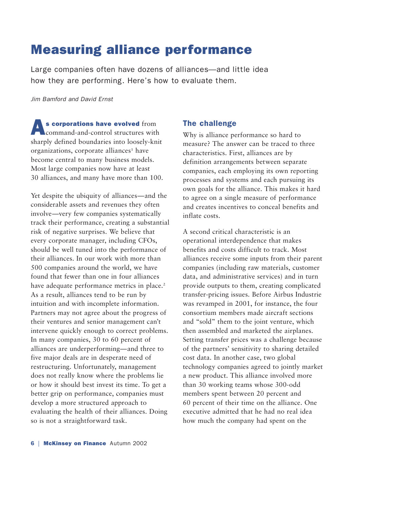## Measuring alliance performance

Large companies often have dozens of alliances—and little idea how they are performing. Here's how to evaluate them.

*Jim Bamford and David Ernst*

As corporations have evolved from command-and-control structures with sharply defined boundaries into loosely-knit organizations, corporate alliances<sup>1</sup> have become central to many business models. Most large companies now have at least 30 alliances, and many have more than 100.

Yet despite the ubiquity of alliances—and the considerable assets and revenues they often involve—very few companies systematically track their performance, creating a substantial risk of negative surprises. We believe that every corporate manager, including CFOs, should be well tuned into the performance of their alliances. In our work with more than 500 companies around the world, we have found that fewer than one in four alliances have adequate performance metrics in place.<sup>2</sup> As a result, alliances tend to be run by intuition and with incomplete information. Partners may not agree about the progress of their ventures and senior management can't intervene quickly enough to correct problems. In many companies, 30 to 60 percent of alliances are underperforming—and three to five major deals are in desperate need of restructuring. Unfortunately, management does not really know where the problems lie or how it should best invest its time. To get a better grip on performance, companies must develop a more structured approach to evaluating the health of their alliances. Doing so is not a straightforward task.

### The challenge

Why is alliance performance so hard to measure? The answer can be traced to three characteristics. First, alliances are by definition arrangements between separate companies, each employing its own reporting processes and systems and each pursuing its own goals for the alliance. This makes it hard to agree on a single measure of performance and creates incentives to conceal benefits and inflate costs.

A second critical characteristic is an operational interdependence that makes benefits and costs difficult to track. Most alliances receive some inputs from their parent companies (including raw materials, customer data, and administrative services) and in turn provide outputs to them, creating complicated transfer-pricing issues. Before Airbus Industrie was revamped in 2001, for instance, the four consortium members made aircraft sections and "sold" them to the joint venture, which then assembled and marketed the airplanes. Setting transfer prices was a challenge because of the partners' sensitivity to sharing detailed cost data. In another case, two global technology companies agreed to jointly market a new product. This alliance involved more than 30 working teams whose 300-odd members spent between 20 percent and 60 percent of their time on the alliance. One executive admitted that he had no real idea how much the company had spent on the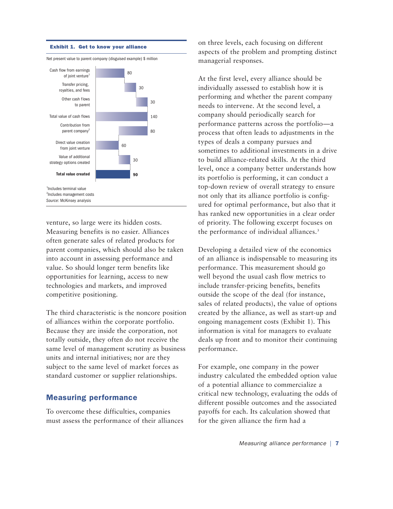

venture, so large were its hidden costs. Measuring benefits is no easier. Alliances often generate sales of related products for parent companies, which should also be taken into account in assessing performance and value. So should longer term benefits like opportunities for learning, access to new technologies and markets, and improved competitive positioning.

The third characteristic is the noncore position of alliances within the corporate portfolio. Because they are inside the corporation, not totally outside, they often do not receive the same level of management scrutiny as business units and internal initiatives; nor are they subject to the same level of market forces as standard customer or supplier relationships.

## Measuring performance

To overcome these difficulties, companies must assess the performance of their alliances on three levels, each focusing on different aspects of the problem and prompting distinct managerial responses.

At the first level, every alliance should be individually assessed to establish how it is performing and whether the parent company needs to intervene. At the second level, a company should periodically search for performance patterns across the portfolio—a process that often leads to adjustments in the types of deals a company pursues and sometimes to additional investments in a drive to build alliance-related skills. At the third level, once a company better understands how its portfolio is performing, it can conduct a top-down review of overall strategy to ensure not only that its alliance portfolio is configured for optimal performance, but also that it has ranked new opportunities in a clear order of priority. The following excerpt focuses on the performance of individual alliances.<sup>3</sup>

Developing a detailed view of the economics of an alliance is indispensable to measuring its performance. This measurement should go well beyond the usual cash flow metrics to include transfer-pricing benefits, benefits outside the scope of the deal (for instance, sales of related products), the value of options created by the alliance, as well as start-up and ongoing management costs (Exhibit 1). This information is vital for managers to evaluate deals up front and to monitor their continuing performance.

For example, one company in the power industry calculated the embedded option value of a potential alliance to commercialize a critical new technology, evaluating the odds of different possible outcomes and the associated payoffs for each. Its calculation showed that for the given alliance the firm had a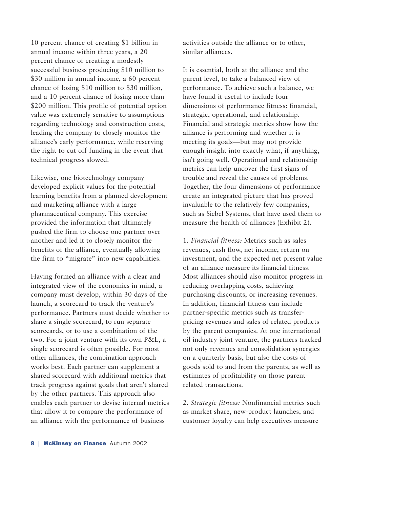10 percent chance of creating \$1 billion in annual income within three years, a 20 percent chance of creating a modestly successful business producing \$10 million to \$30 million in annual income, a 60 percent chance of losing \$10 million to \$30 million, and a 10 percent chance of losing more than \$200 million. This profile of potential option value was extremely sensitive to assumptions regarding technology and construction costs, leading the company to closely monitor the alliance's early performance, while reserving the right to cut off funding in the event that technical progress slowed.

Likewise, one biotechnology company developed explicit values for the potential learning benefits from a planned development and marketing alliance with a large pharmaceutical company. This exercise provided the information that ultimately pushed the firm to choose one partner over another and led it to closely monitor the benefits of the alliance, eventually allowing the firm to "migrate" into new capabilities.

Having formed an alliance with a clear and integrated view of the economics in mind, a company must develop, within 30 days of the launch, a scorecard to track the venture's performance. Partners must decide whether to share a single scorecard, to run separate scorecards, or to use a combination of the two. For a joint venture with its own P&L, a single scorecard is often possible. For most other alliances, the combination approach works best. Each partner can supplement a shared scorecard with additional metrics that track progress against goals that aren't shared by the other partners. This approach also enables each partner to devise internal metrics that allow it to compare the performance of an alliance with the performance of business

activities outside the alliance or to other, similar alliances.

It is essential, both at the alliance and the parent level, to take a balanced view of performance. To achieve such a balance, we have found it useful to include four dimensions of performance fitness: financial, strategic, operational, and relationship. Financial and strategic metrics show how the alliance is performing and whether it is meeting its goals—but may not provide enough insight into exactly what, if anything, isn't going well. Operational and relationship metrics can help uncover the first signs of trouble and reveal the causes of problems. Together, the four dimensions of performance create an integrated picture that has proved invaluable to the relatively few companies, such as Siebel Systems, that have used them to measure the health of alliances (Exhibit 2).

1. *Financial fitness:* Metrics such as sales revenues, cash flow, net income, return on investment, and the expected net present value of an alliance measure its financial fitness. Most alliances should also monitor progress in reducing overlapping costs, achieving purchasing discounts, or increasing revenues. In addition, financial fitness can include partner-specific metrics such as transferpricing revenues and sales of related products by the parent companies. At one international oil industry joint venture, the partners tracked not only revenues and consolidation synergies on a quarterly basis, but also the costs of goods sold to and from the parents, as well as estimates of profitability on those parentrelated transactions.

2. *Strategic fitness:* Nonfinancial metrics such as market share, new-product launches, and customer loyalty can help executives measure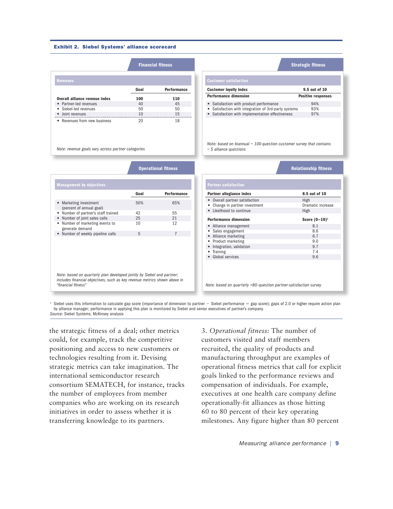#### Exhibit 2. Siebel Systems' alliance scorecard

|                                |      | <b>Financial fitness</b> |
|--------------------------------|------|--------------------------|
| <b>Revenues</b>                |      |                          |
|                                | Goal | <b>Performance</b>       |
| Overall alliance revenue index | 100  | 110                      |
| • Partner-led revenues         | 40   | 45                       |
| • Siebel-led revenues          | 50   | 50                       |
| • Joint revenues               | 10   | 15                       |
| • Revenues from new business   | 20   | 18                       |

*Note: revenue goals vary across partner categories*

|     | <b>Financial fitness</b>     | <b>Strategic fitness</b>                             |                           |
|-----|------------------------------|------------------------------------------------------|---------------------------|
|     | <b>Customer satisfaction</b> |                                                      |                           |
| oal | <b>Performance</b>           | <b>Customer loyalty index</b>                        | 9.5 out of 10             |
| 00  | 110                          | <b>Performance dimension</b>                         | <b>Positive responses</b> |
| 40  | 45                           | • Satisfaction with product performance              | 94%                       |
|     | 50                           | • Satisfaction with integration of 3rd-party systems | 93%                       |
|     | 15                           | • Satisfaction with implementation effectiveness     | 97%                       |
| 20  | 18                           |                                                      |                           |

*Note: based on biannual ~ 100-question customer survey that contains ~ 5 alliance questions*

|                                                                                                                                                                            | <b>Operational fitness</b> |                    |
|----------------------------------------------------------------------------------------------------------------------------------------------------------------------------|----------------------------|--------------------|
| <b>Management by objectives</b>                                                                                                                                            |                            |                    |
|                                                                                                                                                                            | Goal                       | <b>Performance</b> |
| Marketing investment<br>(percent of annual goal)                                                                                                                           | 50%                        | 65%                |
| Number of partner's staff trained                                                                                                                                          | 42                         | 55                 |
| Number of joint sales calls                                                                                                                                                | 25                         | 21                 |
| Number of marketing events to<br>generate demand                                                                                                                           | 10                         | 12                 |
| Number of weekly pipeline calls                                                                                                                                            | 5                          | $\overline{7}$     |
|                                                                                                                                                                            |                            |                    |
| Note: based on quarterly plan developed jointly by Siebel and partner;<br>includes financial objectives, such as key revenue metrics shown above in<br>"financial fitness" |                            |                    |

**Operational fitness Relationship fitness**

| Partner allegiance index       | 8.5 out of 10     |
|--------------------------------|-------------------|
| • Overall partner satisfaction | High              |
| Change in partner investment   | Dramatic increase |
| Likelihood to continue         | High              |
| <b>Performance dimension</b>   | Score $(0-10)^1$  |
| Alliance management            | 8.1               |
| Sales engagement               | 8.6               |
| • Alliance marketing           | 6.7               |
| Product marketing              | 9.0               |
| Integration, validation        | 9.7               |
|                                | 7.4               |
| Training                       |                   |

<sup>1</sup> Siebel uses this information to calculate gap score (importance of dimension to partner – Siebel performance = gap score); gaps of 2.0 or higher require action plan

by alliance manager; performance in applying this plan is monitored by Siebel and senior executives of partner's company. *Source:* Siebel Systems; McKinsey analysis

the strategic fitness of a deal; other metrics could, for example, track the competitive positioning and access to new customers or technologies resulting from it. Devising strategic metrics can take imagination. The international semiconductor research consortium SEMATECH, for instance, tracks the number of employees from member companies who are working on its research initiatives in order to assess whether it is transferring knowledge to its partners.

3. *Operational fitness:* The number of customers visited and staff members recruited, the quality of products and manufacturing throughput are examples of operational fitness metrics that call for explicit goals linked to the performance reviews and compensation of individuals. For example, executives at one health care company define operationally-fit alliances as those hitting 60 to 80 percent of their key operating milestones. Any figure higher than 80 percent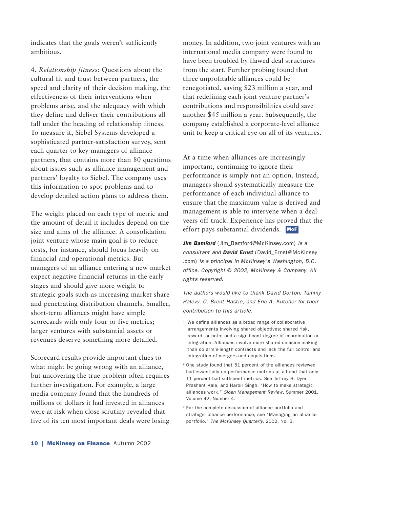indicates that the goals weren't sufficiently ambitious.

4. *Relationship fitness:* Questions about the cultural fit and trust between partners, the speed and clarity of their decision making, the effectiveness of their interventions when problems arise, and the adequacy with which they define and deliver their contributions all fall under the heading of relationship fitness. To measure it, Siebel Systems developed a sophisticated partner-satisfaction survey, sent each quarter to key managers of alliance partners, that contains more than 80 questions about issues such as alliance management and partners' loyalty to Siebel. The company uses this information to spot problems and to develop detailed action plans to address them.

The weight placed on each type of metric and the amount of detail it includes depend on the size and aims of the alliance. A consolidation joint venture whose main goal is to reduce costs, for instance, should focus heavily on financial and operational metrics. But managers of an alliance entering a new market expect negative financial returns in the early stages and should give more weight to strategic goals such as increasing market share and penetrating distribution channels. Smaller, short-term alliances might have simple scorecards with only four or five metrics; larger ventures with substantial assets or revenues deserve something more detailed.

Scorecard results provide important clues to what might be going wrong with an alliance, but uncovering the true problem often requires further investigation. For example, a large media company found that the hundreds of millions of dollars it had invested in alliances were at risk when close scrutiny revealed that five of its ten most important deals were losing money. In addition, two joint ventures with an international media company were found to have been troubled by flawed deal structures from the start. Further probing found that three unprofitable alliances could be renegotiated, saving \$23 million a year, and that redefining each joint venture partner's contributions and responsibilities could save another \$45 million a year. Subsequently, the company established a corporate-level alliance unit to keep a critical eye on all of its ventures.

At a time when alliances are increasingly important, continuing to ignore their performance is simply not an option. Instead, managers should systematically measure the performance of each individual alliance to ensure that the maximum value is derived and management is able to intervene when a deal veers off track. Experience has proved that the effort pays substantial dividends. MoF

*Jim Bamford* (Jim\_Bamford@McKinsey.com) *is a consultant and David Ernst* (David\_Ernst@McKinsey .com) *is a principal in McKinsey's Washington, D.C. office. Copyright* © *2002, McKinsey & Company. All rights reserved.*

*The authors would like to thank David Dorton, Tammy Halevy, C. Brent Hastie, and Eric A. Kutcher for their contribution to this article.*

- <sup>1</sup> We define alliances as a broad range of collaborative arrangements involving shared objectives; shared risk, reward, or both; and a significant degree of coordination or integration. Alliances involve more shared decision-making than do arm's-length contracts and lack the full control and integration of mergers and acquisitions.
- <sup>2</sup> One study found that 51 percent of the alliances reviewed had essentially no performance metrics at all and that only 11 percent had sufficient metrics. See Jeffrey H. Dyer, Prashant Kale, and Harbir Singh, "How to make strategic alliances work," *Sloan Management Review,* Summer 2001, Volume 42, Number 4.
- <sup>3</sup> For the complete discussion of alliance portfolio and strategic alliance performance, see "Managing an alliance portfolio." *The McKinsey Quarterly,* 2002, No. 3.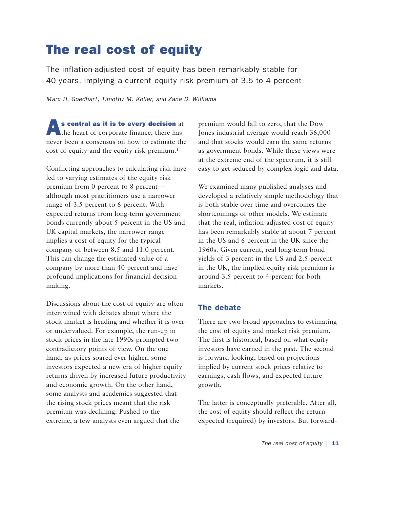# The real cost of equity

The inflation-adjusted cost of equity has been remarkably stable for 40 years, implying a current equity risk premium of 3.5 to 4 percent

*Marc H. Goedhart, Timothy M. Koller, and Zane D. Williams*

As central as it is to every decision at the heart of corporate finance, there has never been a consensus on how to estimate the cost of equity and the equity risk premium.<sup>1</sup>

Conflicting approaches to calculating risk have led to varying estimates of the equity risk premium from 0 percent to 8 percent although most practitioners use a narrower range of 3.5 percent to 6 percent. With expected returns from long-term government bonds currently about 5 percent in the US and UK capital markets, the narrower range implies a cost of equity for the typical company of between 8.5 and 11.0 percent. This can change the estimated value of a company by more than 40 percent and have profound implications for financial decision making.

Discussions about the cost of equity are often intertwined with debates about where the stock market is heading and whether it is overor undervalued. For example, the run-up in stock prices in the late 1990s prompted two contradictory points of view. On the one hand, as prices soared ever higher, some investors expected a new era of higher equity returns driven by increased future productivity and economic growth. On the other hand, some analysts and academics suggested that the rising stock prices meant that the risk premium was declining. Pushed to the extreme, a few analysts even argued that the

premium would fall to zero, that the Dow Jones industrial average would reach 36,000 and that stocks would earn the same returns as government bonds. While these views were at the extreme end of the spectrum, it is still easy to get seduced by complex logic and data.

We examined many published analyses and developed a relatively simple methodology that is both stable over time and overcomes the shortcomings of other models. We estimate that the real, inflation-adjusted cost of equity has been remarkably stable at about 7 percent in the US and 6 percent in the UK since the 1960s. Given current, real long-term bond yields of 3 percent in the US and 2.5 percent in the UK, the implied equity risk premium is around 3.5 percent to 4 percent for both markets.

### The debate

There are two broad approaches to estimating the cost of equity and market risk premium. The first is historical, based on what equity investors have earned in the past. The second is forward-looking, based on projections implied by current stock prices relative to earnings, cash flows, and expected future growth.

The latter is conceptually preferable. After all, the cost of equity should reflect the return expected (required) by investors. But forward-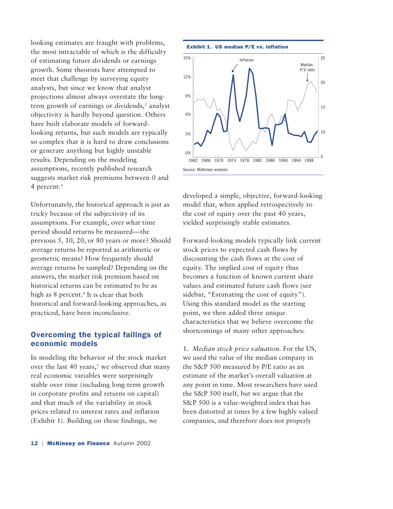looking estimates are fraught with problems, the most intractable of which is the difficulty of estimating future dividends or earnings growth. Some theorists have attempted to meet that challenge by surveying equity analysts, but since we know that analyst projections almost always overstate the longterm growth of earnings or dividends,<sup>2</sup> analyst objectivity is hardly beyond question. Others have built elaborate models of forwardlooking returns, but such models are typically so complex that it is hard to draw conclusions or generate anything but highly unstable results. Depending on the modeling assumptions, recently published research suggests market risk premiums between 0 and 4 percent.<sup>3</sup>

Unfortunately, the historical approach is just as tricky because of the subjectivity of its assumptions. For example, over what time period should returns be measured—the previous 5, 10, 20, or 80 years or more? Should average returns be reported as arithmetic or geometric means? How frequently should average returns be sampled? Depending on the answers, the market risk premium based on historical returns can be estimated to be as high as 8 percent.<sup>4</sup> It is clear that both historical and forward-looking approaches, as practiced, have been inconclusive.

### Overcoming the typical failings of economic models

In modeling the behavior of the stock market over the last 40 years,<sup> $5$ </sup> we observed that many real economic variables were surprisingly stable over time (including long-term growth in corporate profits and returns on capital) and that much of the variability in stock prices related to interest rates and inflation (Exhibit 1). Building on these findings, we





developed a simple, objective, forward-looking model that, when applied retrospectively to the cost of equity over the past 40 years, yielded surprisingly stable estimates.

Forward-looking models typically link current stock prices to expected cash flows by discounting the cash flows at the cost of equity. The implied cost of equity thus becomes a function of known current share values and estimated future cash flows (see sidebar, "Estimating the cost of equity"). Using this standard model as the starting point, we then added three unique characteristics that we believe overcome the shortcomings of many other approaches:

1. *Median stock price valuation.* For the US, we used the value of the median company in the S&P 500 measured by P/E ratio as an estimate of the market's overall valuation at any point in time. Most researchers have used the S&P 500 itself, but we argue that the S&P 500 is a value-weighted index that has been distorted at times by a few highly valued companies, and therefore does not properly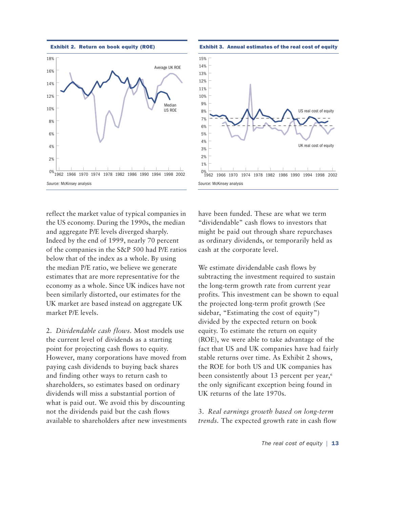





reflect the market value of typical companies in the US economy. During the 1990s, the median and aggregate P/E levels diverged sharply. Indeed by the end of 1999, nearly 70 percent of the companies in the S&P 500 had P/E ratios below that of the index as a whole. By using the median P/E ratio, we believe we generate estimates that are more representative for the economy as a whole. Since UK indices have not been similarly distorted, our estimates for the UK market are based instead on aggregate UK market P/E levels.

2. *Dividendable cash flows.* Most models use the current level of dividends as a starting point for projecting cash flows to equity. However, many corporations have moved from paying cash dividends to buying back shares and finding other ways to return cash to shareholders, so estimates based on ordinary dividends will miss a substantial portion of what is paid out. We avoid this by discounting not the dividends paid but the cash flows available to shareholders after new investments have been funded. These are what we term "dividendable" cash flows to investors that might be paid out through share repurchases as ordinary dividends, or temporarily held as cash at the corporate level.

We estimate dividendable cash flows by subtracting the investment required to sustain the long-term growth rate from current year profits. This investment can be shown to equal the projected long-term profit growth (See sidebar, "Estimating the cost of equity") divided by the expected return on book equity. To estimate the return on equity (ROE), we were able to take advantage of the fact that US and UK companies have had fairly stable returns over time. As Exhibit 2 shows, the ROE for both US and UK companies has been consistently about 13 percent per year,<sup>6</sup> the only significant exception being found in UK returns of the late 1970s.

3. *Real earnings growth based on long-term trends.* The expected growth rate in cash flow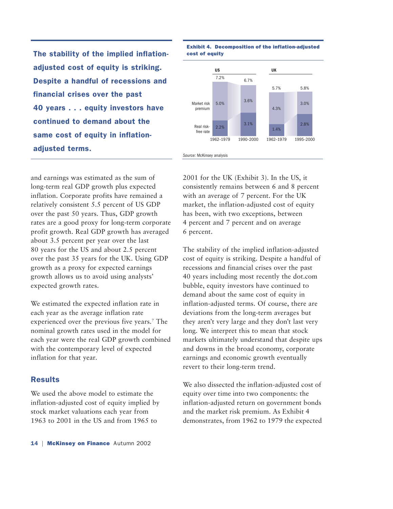The stability of the implied inflationadjusted cost of equity is striking. Despite a handful of recessions and financial crises over the past 40 years . . . equity investors have continued to demand about the same cost of equity in inflationadjusted terms.

and earnings was estimated as the sum of long-term real GDP growth plus expected inflation. Corporate profits have remained a relatively consistent 5.5 percent of US GDP over the past 50 years. Thus, GDP growth rates are a good proxy for long-term corporate profit growth. Real GDP growth has averaged about 3.5 percent per year over the last 80 years for the US and about 2.5 percent over the past 35 years for the UK. Using GDP growth as a proxy for expected earnings growth allows us to avoid using analysts' expected growth rates.

We estimated the expected inflation rate in each year as the average inflation rate experienced over the previous five years.7 The nominal growth rates used in the model for each year were the real GDP growth combined with the contemporary level of expected inflation for that year.

#### **Results**

We used the above model to estimate the inflation-adjusted cost of equity implied by stock market valuations each year from 1963 to 2001 in the US and from 1965 to



## Exhibit 4. Decomposition of the inflation-adjusted

#### *Source:* McKinsey analysis

2001 for the UK (Exhibit 3). In the US, it consistently remains between 6 and 8 percent with an average of 7 percent. For the UK market, the inflation-adjusted cost of equity has been, with two exceptions, between 4 percent and 7 percent and on average 6 percent.

The stability of the implied inflation-adjusted cost of equity is striking. Despite a handful of recessions and financial crises over the past 40 years including most recently the dot.com bubble, equity investors have continued to demand about the same cost of equity in inflation-adjusted terms. Of course, there are deviations from the long-term averages but they aren't very large and they don't last very long. We interpret this to mean that stock markets ultimately understand that despite ups and downs in the broad economy, corporate earnings and economic growth eventually revert to their long-term trend.

We also dissected the inflation-adjusted cost of equity over time into two components: the inflation-adjusted return on government bonds and the market risk premium. As Exhibit 4 demonstrates, from 1962 to 1979 the expected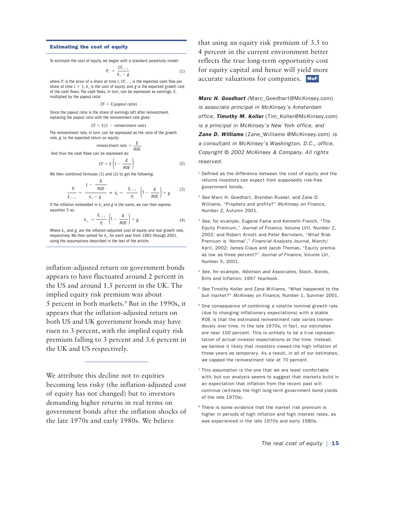#### Estimating the cost of equity

To estimate the cost of equity, we began with a standard perpetuity model:

$$
P_t = \frac{CF_{t+1}}{k_e - g} \tag{1}
$$

where  $P_t$  is the price of a share at time *t*,  $CF_{t+1}$  is the expected cash flow per share at time  $t + 1$ ,  $k_e$  is the cost of equity, and  $g$  is the expected growth rate of the cash flows. The cash flows, in turn, can be expressed as earnings, *E*, multiplied by the payout ratio:

$$
CF = E(\textit{payout ratio})
$$

Since the payout ratio is the share of earnings left after reinvestment, replacing the payout ratio with the reinvestment rate gives:

$$
CF = E(1 - reinvestment rate)
$$

The reinvestment rate, in turn, can be expressed as the ratio of the growth rate, *g*, to the expected return on equity:

$$
reinvestment\ rate = \frac{g}{ROE}
$$

And thus the cash flows can be expressed as:

$$
CF = E\left(1 - \frac{g}{ROE}\right)
$$

(2)

(4)

We then combined formulas (1) and (2) to get the following:

$$
\frac{P_t}{E_{t+1}} = \frac{1 - \frac{g}{ROE}}{k_e - g} \Rightarrow k_e = \frac{E_{t+1}}{P_t} \left(1 - \frac{g}{ROE}\right) + g \tag{3}
$$

If the inflation embedded in  $k_e$  and  $g$  is the same, we can then express equation 3 as:

$$
k_{er} = \frac{E_{t+1}}{P_t} \left(1 - \frac{g}{ROE}\right) + g_r
$$

Where  $k_{\alpha}$  and  $g$ , are the inflation-adjusted cost of equity and real growth rate, respectively. We then solved for *ker* for each year from 1963 through 2001, using the assumptions described in the text of the article.

inflation-adjusted return on government bonds appears to have fluctuated around 2 percent in the US and around 1.5 percent in the UK. The implied equity risk premium was about 5 percent in both markets.8 But in the 1990s, it appears that the inflation-adjusted return on both US and UK government bonds may have risen to 3 percent, with the implied equity risk premium falling to 3 percent and 3.6 percent in the UK and US respectively.

We attribute this decline not to equities becoming less risky (the inflation-adjusted cost of equity has not changed) but to investors demanding higher returns in real terms on government bonds after the inflation shocks of the late 1970s and early 1980s. We believe

that using an equity risk premium of 3.5 to 4 percent in the current environment better reflects the true long-term opportunity cost for equity capital and hence will yield more accurate valuations for companies. MoF

*Marc H. Goedhart (*Marc\_Goedhart@McKinsey.com) *is associate principal in McKinsey's Amsterdam office, Timothy M. Koller* (Tim\_Koller@McKinsey.com) *is a principal in McKinsey's New York office, and Zane D. Williams* (Zane\_Williams @McKinsey.com) *is a consultant in McKinsey's Washington, D.C., office, Copyright* © *2002 McKinsey & Company. All rights reserved.*

 $1$  Defined as the difference between the cost of equity and the returns investors can expect from supposedly risk-free government bonds.

- <sup>2</sup> *See* Marc H. Goedhart, Brendan Russel, and Zane D. Williams, "Prophets and profits?" *McKinsey on Finance,* Number 2, Autumn 2001.
- <sup>3</sup> *See,* for example, Eugene Fama and Kenneth French, "The Equity Premium," *Journal of Finance,* Volume LVII, Number 2, 2002; and Robert Arnott and Peter Bernstein, "What Risk Premium is 'Normal'," *Financial Analysts Journal,* March/ April, 2002; James Claus and Jacob Thomas, "Equity premia as low as three percent?" *Journal of Finance*, Volume LVI, Number 5, 2001.
- <sup>4</sup> *See,* for example, *Ibbotson and Associates,* Stock, Bonds, Bills and Inflation: 1997 Yearbook.
- <sup>5</sup> *See* Timothy Koller and Zane Williams, "What happened to the bull market?" *McKinsey on Finance,* Number 1, Summer 2001.
- <sup>6</sup> One consequence of combining a volatile nominal growth rate (due to changing inflationary expectations) with a stable ROE is that the estimated reinvestment rate varies tremendously over time. In the late 1970s, in fact, our estimates are near 100 percent. This is unlikely to be a true representation of actual investor expectations at the time. Instead, we believe it likely that investors viewed the high inflation of those years as temporary. As a result, in all of our estimates, we capped the reinvestment rate at 70 percent.
- $7$  This assumption is the one that we are least comfortable with, but our analysis seems to suggest that markets build in an expectation that inflation from the recent past will continue (witness the high long-term government bond yields of the late 1970s).
- <sup>8</sup> There is some evidence that the market risk premium is higher in periods of high inflation and high interest rates, as was experienced in the late 1970s and early 1980s.